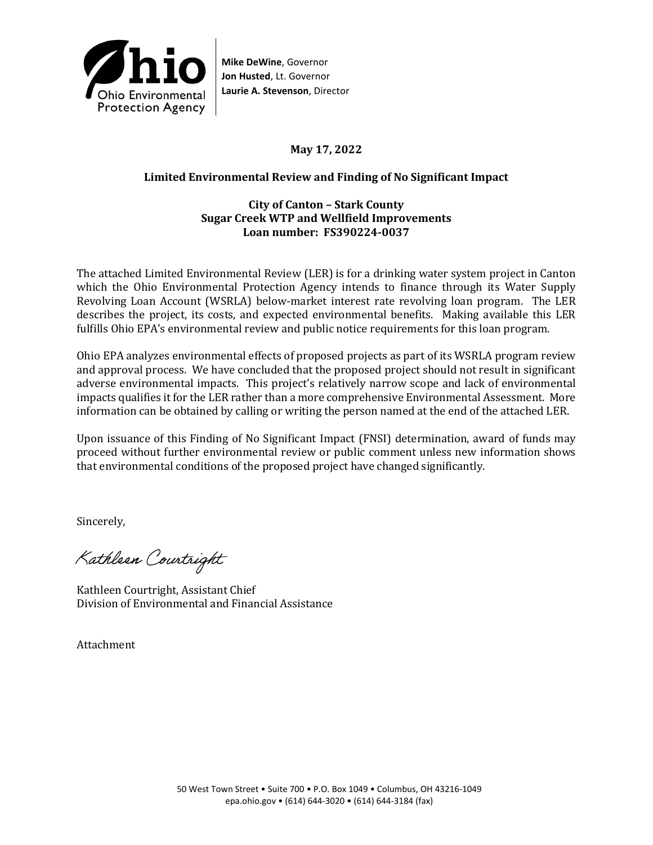

**Mike DeWine**, Governor **Jon Husted**, Lt. Governor **Laurie A. Stevenson**, Director

## **May 17, 2022**

## **Limited Environmental Review and Finding of No Significant Impact**

### **City of Canton – Stark County Sugar Creek WTP and Wellfield Improvements Loan number: FS390224-0037**

The attached Limited Environmental Review (LER) is for a drinking water system project in Canton which the Ohio Environmental Protection Agency intends to finance through its Water Supply Revolving Loan Account (WSRLA) below-market interest rate revolving loan program. The LER describes the project, its costs, and expected environmental benefits. Making available this LER fulfills Ohio EPA's environmental review and public notice requirements for this loan program.

Ohio EPA analyzes environmental effects of proposed projects as part of its WSRLA program review and approval process. We have concluded that the proposed project should not result in significant adverse environmental impacts. This project's relatively narrow scope and lack of environmental impacts qualifies it for the LER rather than a more comprehensive Environmental Assessment. More information can be obtained by calling or writing the person named at the end of the attached LER.

Upon issuance of this Finding of No Significant Impact (FNSI) determination, award of funds may proceed without further environmental review or public comment unless new information shows that environmental conditions of the proposed project have changed significantly.

Sincerely,

Kathleen Courtright

Kathleen Courtright, Assistant Chief Division of Environmental and Financial Assistance

Attachment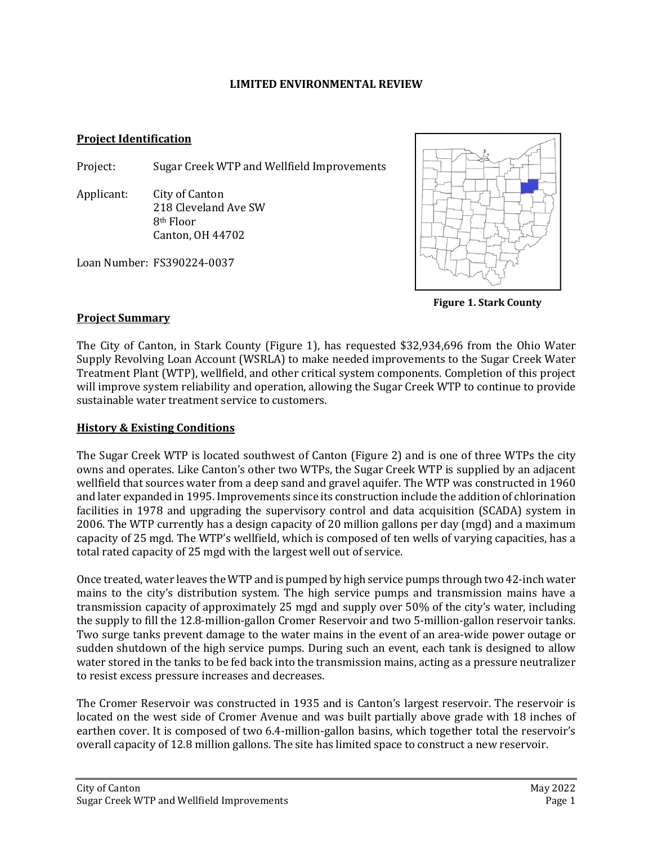#### **LIMITED ENVIRONMENTAL REVIEW**

#### **Project Identification**

Project: Sugar Creek WTP and Wellfield Improvements

Applicant: City of Canton 218 Cleveland Ave SW 8th Floor Canton, OH 44702

Loan Number: FS390224-0037



**Figure 1. Stark County**

### **Project Summary**

The City of Canton, in Stark County (Figure 1), has requested \$32,934,696 from the Ohio Water Supply Revolving Loan Account (WSRLA) to make needed improvements to the Sugar Creek Water Treatment Plant (WTP), wellfield, and other critical system components. Completion of this project will improve system reliability and operation, allowing the Sugar Creek WTP to continue to provide sustainable water treatment service to customers.

## **History & Existing Conditions**

The Sugar Creek WTP is located southwest of Canton (Figure 2) and is one of three WTPs the city owns and operates. Like Canton's other two WTPs, the Sugar Creek WTP is supplied by an adjacent wellfield that sources water from a deep sand and gravel aquifer. The WTP was constructed in 1960 and later expanded in 1995. Improvements since its construction include the addition of chlorination facilities in 1978 and upgrading the supervisory control and data acquisition (SCADA) system in 2006. The WTP currently has a design capacity of 20 million gallons per day (mgd) and a maximum capacity of 25 mgd. The WTP's wellfield, which is composed of ten wells of varying capacities, has a total rated capacity of 25 mgd with the largest well out of service.

Once treated, water leaves the WTP and is pumped by high service pumps through two 42-inch water mains to the city's distribution system. The high service pumps and transmission mains have a transmission capacity of approximately 25 mgd and supply over 50% of the city's water, including the supply to fill the 12.8-million-gallon Cromer Reservoir and two 5-million-gallon reservoir tanks. Two surge tanks prevent damage to the water mains in the event of an area-wide power outage or sudden shutdown of the high service pumps. During such an event, each tank is designed to allow water stored in the tanks to be fed back into the transmission mains, acting as a pressure neutralizer to resist excess pressure increases and decreases.

The Cromer Reservoir was constructed in 1935 and is Canton's largest reservoir. The reservoir is located on the west side of Cromer Avenue and was built partially above grade with 18 inches of earthen cover. It is composed of two 6.4-million-gallon basins, which together total the reservoir's overall capacity of 12.8 million gallons. The site has limited space to construct a new reservoir.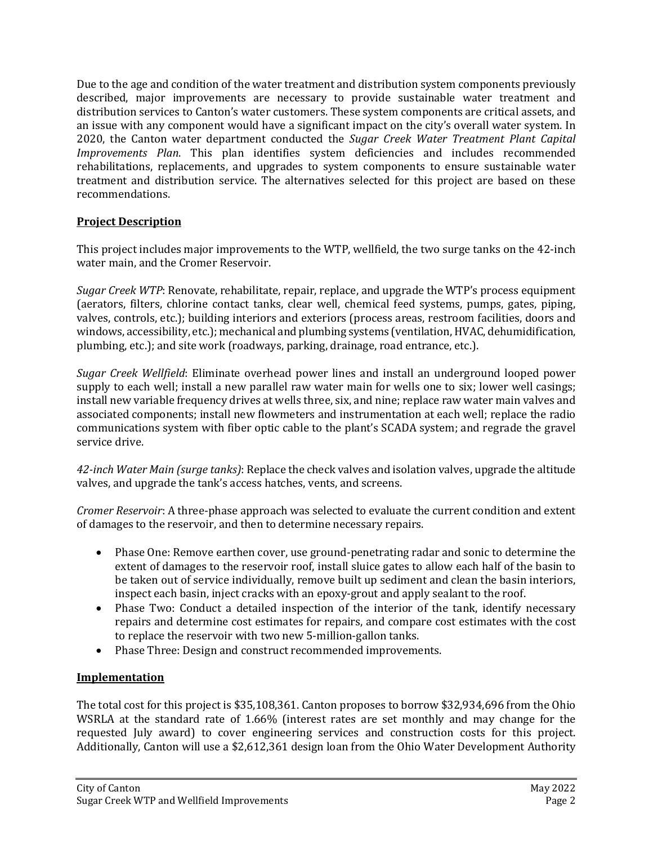Due to the age and condition of the water treatment and distribution system components previously described, major improvements are necessary to provide sustainable water treatment and distribution services to Canton's water customers. These system components are critical assets, and an issue with any component would have a significant impact on the city's overall water system. In 2020, the Canton water department conducted the *Sugar Creek Water Treatment Plant Capital Improvements Plan*. This plan identifies system deficiencies and includes recommended rehabilitations, replacements, and upgrades to system components to ensure sustainable water treatment and distribution service. The alternatives selected for this project are based on these recommendations.

## **Project Description**

This project includes major improvements to the WTP, wellfield, the two surge tanks on the 42-inch water main, and the Cromer Reservoir.

*Sugar Creek WTP*: Renovate, rehabilitate, repair, replace, and upgrade the WTP's process equipment (aerators, filters, chlorine contact tanks, clear well, chemical feed systems, pumps, gates, piping, valves, controls, etc.); building interiors and exteriors (process areas, restroom facilities, doors and windows, accessibility, etc.); mechanical and plumbing systems (ventilation, HVAC, dehumidification, plumbing, etc.); and site work (roadways, parking, drainage, road entrance, etc.).

*Sugar Creek Wellfield*: Eliminate overhead power lines and install an underground looped power supply to each well; install a new parallel raw water main for wells one to six; lower well casings; install new variable frequency drives at wells three, six, and nine; replace raw water main valves and associated components; install new flowmeters and instrumentation at each well; replace the radio communications system with fiber optic cable to the plant's SCADA system; and regrade the gravel service drive.

*42-inch Water Main (surge tanks)*: Replace the check valves and isolation valves, upgrade the altitude valves, and upgrade the tank's access hatches, vents, and screens.

*Cromer Reservoir*: A three-phase approach was selected to evaluate the current condition and extent of damages to the reservoir, and then to determine necessary repairs.

- Phase One: Remove earthen cover, use ground-penetrating radar and sonic to determine the extent of damages to the reservoir roof, install sluice gates to allow each half of the basin to be taken out of service individually, remove built up sediment and clean the basin interiors, inspect each basin, inject cracks with an epoxy-grout and apply sealant to the roof.
- Phase Two: Conduct a detailed inspection of the interior of the tank, identify necessary repairs and determine cost estimates for repairs, and compare cost estimates with the cost to replace the reservoir with two new 5-million-gallon tanks.
- Phase Three: Design and construct recommended improvements.

### **Implementation**

The total cost for this project is \$35,108,361. Canton proposes to borrow \$32,934,696 from the Ohio WSRLA at the standard rate of 1.66% (interest rates are set monthly and may change for the requested July award) to cover engineering services and construction costs for this project. Additionally, Canton will use a \$2,612,361 design loan from the Ohio Water Development Authority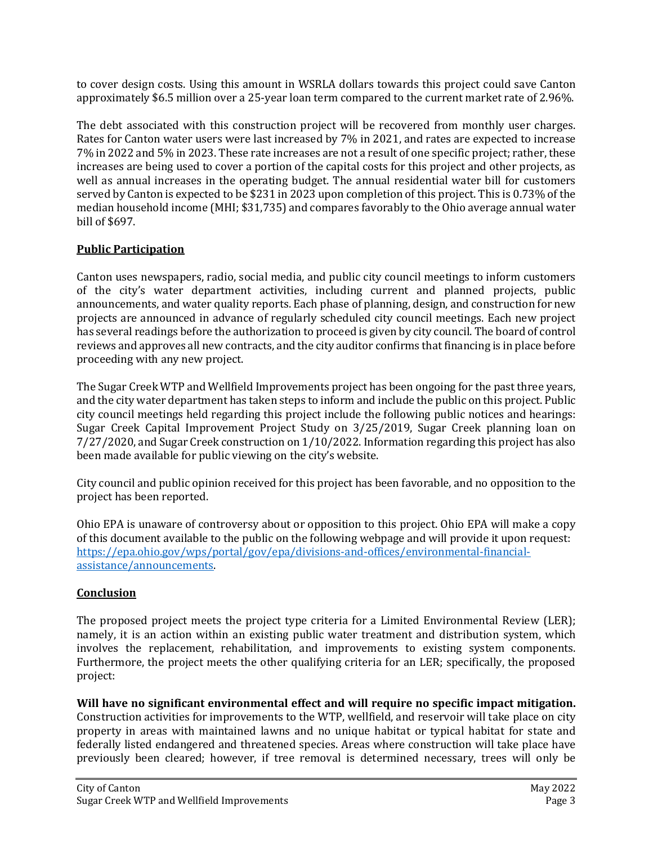to cover design costs. Using this amount in WSRLA dollars towards this project could save Canton approximately \$6.5 million over a 25-year loan term compared to the current market rate of 2.96%.

The debt associated with this construction project will be recovered from monthly user charges. Rates for Canton water users were last increased by 7% in 2021, and rates are expected to increase 7% in 2022 and 5% in 2023. These rate increases are not a result of one specific project; rather, these increases are being used to cover a portion of the capital costs for this project and other projects, as well as annual increases in the operating budget. The annual residential water bill for customers served by Canton is expected to be \$231 in 2023 upon completion of this project. This is 0.73% of the median household income (MHI; \$31,735) and compares favorably to the Ohio average annual water bill of \$697.

# **Public Participation**

Canton uses newspapers, radio, social media, and public city council meetings to inform customers of the city's water department activities, including current and planned projects, public announcements, and water quality reports. Each phase of planning, design, and construction for new projects are announced in advance of regularly scheduled city council meetings. Each new project has several readings before the authorization to proceed is given by city council. The board of control reviews and approves all new contracts, and the city auditor confirms that financing is in place before proceeding with any new project.

The Sugar Creek WTP and Wellfield Improvements project has been ongoing for the past three years, and the city water department has taken steps to inform and include the public on this project. Public city council meetings held regarding this project include the following public notices and hearings: Sugar Creek Capital Improvement Project Study on 3/25/2019, Sugar Creek planning loan on 7/27/2020, and Sugar Creek construction on 1/10/2022. Information regarding this project has also been made available for public viewing on the city's website.

City council and public opinion received for this project has been favorable, and no opposition to the project has been reported.

Ohio EPA is unaware of controversy about or opposition to this project. Ohio EPA will make a copy of this document available to the public on the following webpage and will provide it upon request: [https://epa.ohio.gov/wps/portal/gov/epa/divisions-and-offices/environmental-financial](https://epa.ohio.gov/wps/portal/gov/epa/divisions-and-offices/environmental-financial-assistance/announcements)[assistance/announcements.](https://epa.ohio.gov/wps/portal/gov/epa/divisions-and-offices/environmental-financial-assistance/announcements) 

# **Conclusion**

The proposed project meets the project type criteria for a Limited Environmental Review (LER); namely, it is an action within an existing public water treatment and distribution system, which involves the replacement, rehabilitation, and improvements to existing system components. Furthermore, the project meets the other qualifying criteria for an LER; specifically, the proposed project:

**Will have no significant environmental effect and will require no specific impact mitigation.**  Construction activities for improvements to the WTP, wellfield, and reservoir will take place on city property in areas with maintained lawns and no unique habitat or typical habitat for state and federally listed endangered and threatened species. Areas where construction will take place have previously been cleared; however, if tree removal is determined necessary, trees will only be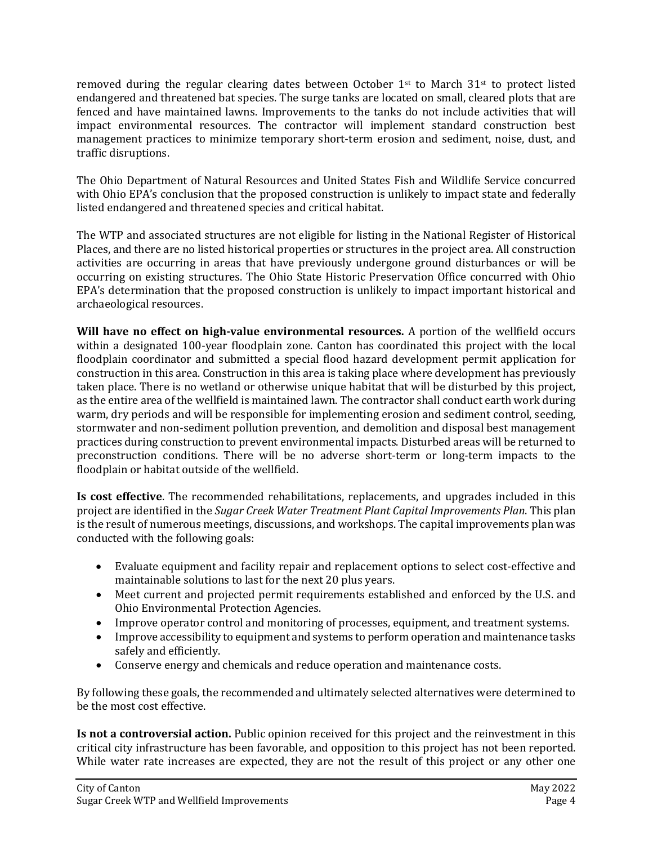removed during the regular clearing dates between October  $1^{st}$  to March  $31^{st}$  to protect listed endangered and threatened bat species. The surge tanks are located on small, cleared plots that are fenced and have maintained lawns. Improvements to the tanks do not include activities that will impact environmental resources. The contractor will implement standard construction best management practices to minimize temporary short-term erosion and sediment, noise, dust, and traffic disruptions.

The Ohio Department of Natural Resources and United States Fish and Wildlife Service concurred with Ohio EPA's conclusion that the proposed construction is unlikely to impact state and federally listed endangered and threatened species and critical habitat.

The WTP and associated structures are not eligible for listing in the National Register of Historical Places, and there are no listed historical properties or structures in the project area. All construction activities are occurring in areas that have previously undergone ground disturbances or will be occurring on existing structures. The Ohio State Historic Preservation Office concurred with Ohio EPA's determination that the proposed construction is unlikely to impact important historical and archaeological resources.

**Will have no effect on high-value environmental resources.** A portion of the wellfield occurs within a designated 100-year floodplain zone. Canton has coordinated this project with the local floodplain coordinator and submitted a special flood hazard development permit application for construction in this area. Construction in this area is taking place where development has previously taken place. There is no wetland or otherwise unique habitat that will be disturbed by this project, as the entire area of the wellfield is maintained lawn. The contractor shall conduct earth work during warm, dry periods and will be responsible for implementing erosion and sediment control, seeding, stormwater and non-sediment pollution prevention, and demolition and disposal best management practices during construction to prevent environmental impacts. Disturbed areas will be returned to preconstruction conditions. There will be no adverse short-term or long-term impacts to the floodplain or habitat outside of the wellfield.

**Is cost effective**. The recommended rehabilitations, replacements, and upgrades included in this project are identified in the *Sugar Creek Water Treatment Plant Capital Improvements Plan*. This plan is the result of numerous meetings, discussions, and workshops. The capital improvements plan was conducted with the following goals:

- Evaluate equipment and facility repair and replacement options to select cost-effective and maintainable solutions to last for the next 20 plus years.
- Meet current and projected permit requirements established and enforced by the U.S. and Ohio Environmental Protection Agencies.
- Improve operator control and monitoring of processes, equipment, and treatment systems.
- Improve accessibility to equipment and systems to perform operation and maintenance tasks safely and efficiently.
- Conserve energy and chemicals and reduce operation and maintenance costs.

By following these goals, the recommended and ultimately selected alternatives were determined to be the most cost effective.

**Is not a controversial action.** Public opinion received for this project and the reinvestment in this critical city infrastructure has been favorable, and opposition to this project has not been reported. While water rate increases are expected, they are not the result of this project or any other one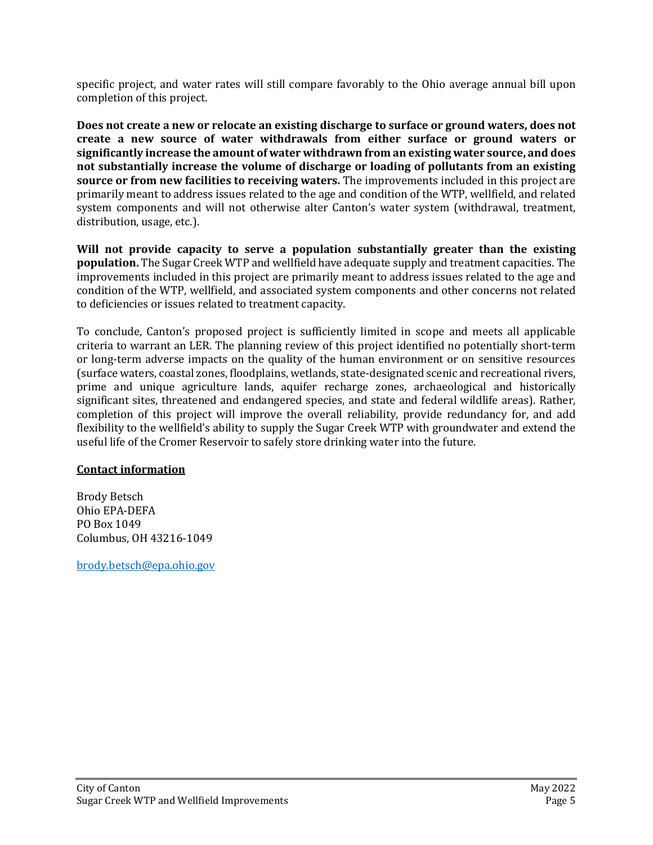specific project, and water rates will still compare favorably to the Ohio average annual bill upon completion of this project.

**Does not create a new or relocate an existing discharge to surface or ground waters, does not create a new source of water withdrawals from either surface or ground waters or significantly increase the amount of water withdrawn from an existing water source, and does not substantially increase the volume of discharge or loading of pollutants from an existing source or from new facilities to receiving waters.** The improvements included in this project are primarily meant to address issues related to the age and condition of the WTP, wellfield, and related system components and will not otherwise alter Canton's water system (withdrawal, treatment, distribution, usage, etc.).

**Will not provide capacity to serve a population substantially greater than the existing population.** The Sugar Creek WTP and wellfield have adequate supply and treatment capacities. The improvements included in this project are primarily meant to address issues related to the age and condition of the WTP, wellfield, and associated system components and other concerns not related to deficiencies or issues related to treatment capacity.

To conclude, Canton's proposed project is sufficiently limited in scope and meets all applicable criteria to warrant an LER. The planning review of this project identified no potentially short-term or long-term adverse impacts on the quality of the human environment or on sensitive resources (surface waters, coastal zones, floodplains, wetlands, state-designated scenic and recreational rivers, prime and unique agriculture lands, aquifer recharge zones, archaeological and historically significant sites, threatened and endangered species, and state and federal wildlife areas). Rather, completion of this project will improve the overall reliability, provide redundancy for, and add flexibility to the wellfield's ability to supply the Sugar Creek WTP with groundwater and extend the useful life of the Cromer Reservoir to safely store drinking water into the future.

## **Contact information**

Brody Betsch Ohio EPA-DEFA PO Box 1049 Columbus, OH 43216-1049

[brody.betsch@epa.ohio.gov](mailto:brody.betsch@epa.ohio.gov)